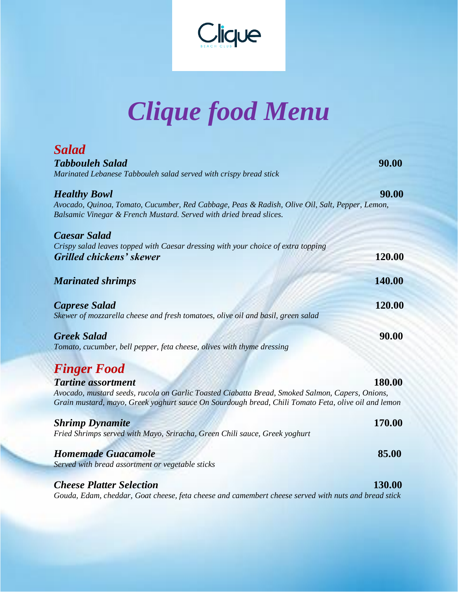

## *Clique food Menu*

| <b>Salad</b><br><b>Tabbouleh Salad</b><br>Marinated Lebanese Tabbouleh salad served with crispy bread stick                                                                                                                                                         | 90.00 |
|---------------------------------------------------------------------------------------------------------------------------------------------------------------------------------------------------------------------------------------------------------------------|-------|
| <b>Healthy Bowl</b><br>Avocado, Quinoa, Tomato, Cucumber, Red Cabbage, Peas & Radish, Olive Oil, Salt, Pepper, Lemon,<br>Balsamic Vinegar & French Mustard. Served with dried bread slices.                                                                         | 90.00 |
| <b>Caesar Salad</b><br>Crispy salad leaves topped with Caesar dressing with your choice of extra topping<br>120.00<br>Grilled chickens' skewer                                                                                                                      |       |
| 140.00<br><b>Marinated shrimps</b>                                                                                                                                                                                                                                  |       |
| 120.00<br><b>Caprese Salad</b><br>Skewer of mozzarella cheese and fresh tomatoes, olive oil and basil, green salad                                                                                                                                                  |       |
| <b>Greek Salad</b><br>Tomato, cucumber, bell pepper, feta cheese, olives with thyme dressing                                                                                                                                                                        | 90.00 |
| <b>Finger Food</b><br>180.00<br><b>Tartine assortment</b><br>Avocado, mustard seeds, rucola on Garlic Toasted Ciabatta Bread, Smoked Salmon, Capers, Onions,<br>Grain mustard, mayo, Greek yoghurt sauce On Sourdough bread, Chili Tomato Feta, olive oil and lemon |       |
| 170.00<br><b>Shrimp Dynamite</b><br>Fried Shrimps served with Mayo, Sriracha, Green Chili sauce, Greek yoghurt                                                                                                                                                      |       |
| <b>Homemade Guacamole</b><br>85.00<br>Served with bread assortment or vegetable sticks                                                                                                                                                                              |       |

## *Cheese Platter Selection* **130.00** *Gouda, Edam, cheddar, Goat cheese, feta cheese and camembert cheese served with nuts and bread stick*